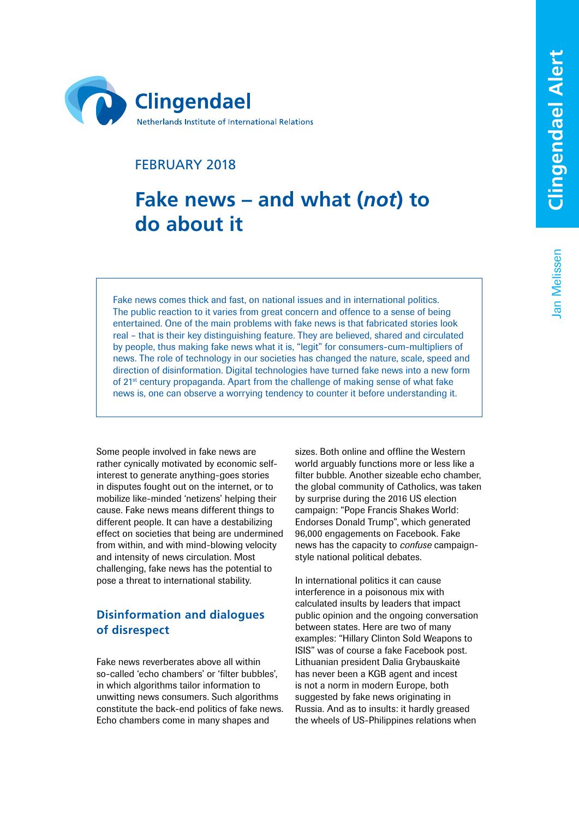Jan Melissen

Jan Melissen



# FEBRUARY 2018

# **Fake news – and what (***not* **) to do about it**

Fake news comes thick and fast, on national issues and in international politics. The public reaction to it varies from great concern and offence to a sense of being entertained. One of the main problems with fake news is that fabricated stories look real – that is their key distinguishing feature. They are believed, shared and circulated by people, thus making fake news what it is, "legit" for consumers-cum-multipliers of news. The role of technology in our societies has changed the nature, scale, speed and direction of disinformation. Digital technologies have turned fake news into a new form of 21st century propaganda. Apart from the challenge of making sense of what fake news is, one can observe a worrying tendency to counter it before understanding it.

Some people involved in fake news are rather cynically motivated by economic selfinterest to generate anything-goes stories in disputes fought out on the internet, or to mobilize like-minded 'netizens' helping their cause. Fake news means different things to different people. It can have a destabilizing effect on societies that being are undermined from within, and with mind-blowing velocity and intensity of news circulation. Most challenging, fake news has the potential to pose a threat to international stability.

# **Disinformation and dialogues of disrespect**

Fake news reverberates above all within so-called 'echo chambers' or 'filter bubbles', in which algorithms tailor information to unwitting news consumers. Such algorithms constitute the back-end politics of fake news. Echo chambers come in many shapes and

sizes. Both online and offline the Western world arguably functions more or less like a filter bubble. Another sizeable echo chamber, the global community of Catholics, was taken by surprise during the 2016 US election campaign: "Pope Francis Shakes World: Endorses Donald Trump", which generated 96,000 engagements on Facebook. Fake news has the capacity to *confuse* campaignstyle national political debates.

In international politics it can cause interference in a poisonous mix with calculated insults by leaders that impact public opinion and the ongoing conversation between states. Here are two of many examples: "Hillary Clinton Sold Weapons to ISIS" was of course a fake Facebook post. Lithuanian president Dalia Grybauskaitė has never been a KGB agent and incest is not a norm in modern Europe, both suggested by fake news originating in Russia. And as to insults: it hardly greased the wheels of US-Philippines relations when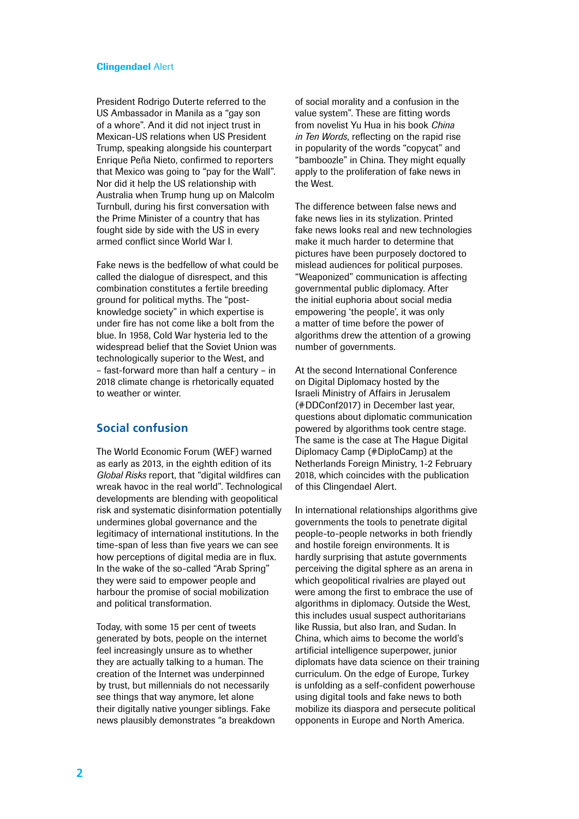#### Clingendael Alert

President Rodrigo Duterte referred to the US Ambassador in Manila as a "gay son of a whore". And it did not inject trust in Mexican-US relations when US President Trump, speaking alongside his counterpart Enrique Peña Nieto, confirmed to reporters that Mexico was going to "pay for the Wall". Nor did it help the US relationship with Australia when Trump hung up on Malcolm Turnbull, during his first conversation with the Prime Minister of a country that has fought side by side with the US in every armed conflict since World War I.

Fake news is the bedfellow of what could be called the dialogue of disrespect, and this combination constitutes a fertile breeding ground for political myths. The "postknowledge society" in which expertise is under fire has not come like a bolt from the blue. In 1958, Cold War hysteria led to the widespread belief that the Soviet Union was technologically superior to the West, and – fast-forward more than half a century – in 2018 climate change is rhetorically equated to weather or winter.

## **Social confusion**

The World Economic Forum (WEF) warned as early as 2013, in the eighth edition of its *Global Risks* report, that "digital wildfires can wreak havoc in the real world". Technological developments are blending with geopolitical risk and systematic disinformation potentially undermines global governance and the legitimacy of international institutions. In the time-span of less than five years we can see how perceptions of digital media are in flux. In the wake of the so-called "Arab Spring" they were said to empower people and harbour the promise of social mobilization and political transformation.

Today, with some 15 per cent of tweets generated by bots, people on the internet feel increasingly unsure as to whether they are actually talking to a human. The creation of the Internet was underpinned by trust, but millennials do not necessarily see things that way anymore, let alone their digitally native younger siblings. Fake news plausibly demonstrates "a breakdown of social morality and a confusion in the value system". These are fitting words from novelist Yu Hua in his book *China in Ten Words*, reflecting on the rapid rise in popularity of the words "copycat" and "bamboozle" in China. They might equally apply to the proliferation of fake news in the West.

The difference between false news and fake news lies in its stylization. Printed fake news looks real and new technologies make it much harder to determine that pictures have been purposely doctored to mislead audiences for political purposes. "Weaponized" communication is affecting governmental public diplomacy. After the initial euphoria about social media empowering 'the people', it was only a matter of time before the power of algorithms drew the attention of a growing number of governments.

At the second International Conference on Digital Diplomacy hosted by the Israeli Ministry of Affairs in Jerusalem (#DDConf2017) in December last year, questions about diplomatic communication powered by algorithms took centre stage. The same is the case at The Hague Digital Diplomacy Camp (#DiploCamp) at the Netherlands Foreign Ministry, 1-2 February 2018, which coincides with the publication of this Clingendael Alert.

In international relationships algorithms give governments the tools to penetrate digital people-to-people networks in both friendly and hostile foreign environments. It is hardly surprising that astute governments perceiving the digital sphere as an arena in which geopolitical rivalries are played out were among the first to embrace the use of algorithms in diplomacy. Outside the West, this includes usual suspect authoritarians like Russia, but also Iran, and Sudan. In China, which aims to become the world's artificial intelligence superpower, junior diplomats have data science on their training curriculum. On the edge of Europe, Turkey is unfolding as a self-confident powerhouse using digital tools and fake news to both mobilize its diaspora and persecute political opponents in Europe and North America.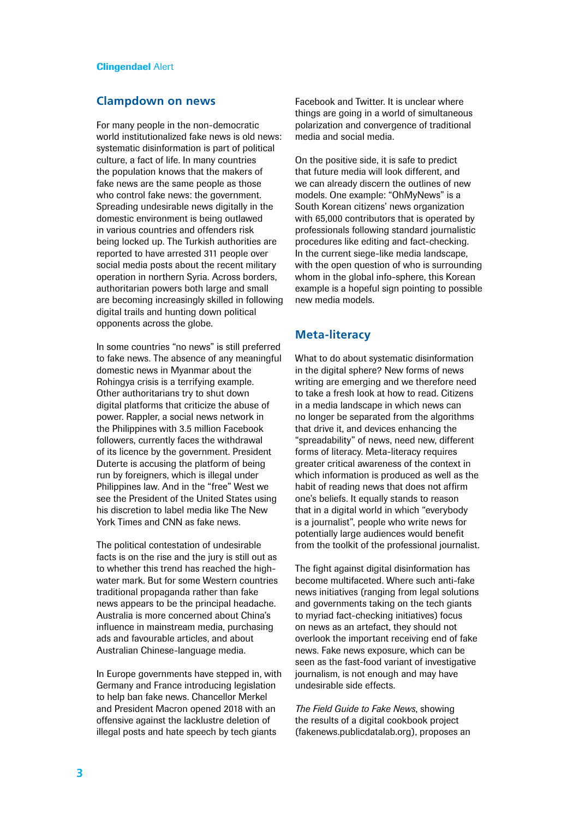### **Clampdown on news**

For many people in the non-democratic world institutionalized fake news is old news: systematic disinformation is part of political culture, a fact of life. In many countries the population knows that the makers of fake news are the same people as those who control fake news: the government. Spreading undesirable news digitally in the domestic environment is being outlawed in various countries and offenders risk being locked up. The Turkish authorities are reported to have arrested 311 people over social media posts about the recent military operation in northern Syria. Across borders, authoritarian powers both large and small are becoming increasingly skilled in following digital trails and hunting down political opponents across the globe.

In some countries "no news" is still preferred to fake news. The absence of any meaningful domestic news in Myanmar about the Rohingya crisis is a terrifying example. Other authoritarians try to shut down digital platforms that criticize the abuse of power. Rappler, a social news network in the Philippines with 3.5 million Facebook followers, currently faces the withdrawal of its licence by the government. President Duterte is accusing the platform of being run by foreigners, which is illegal under Philippines law. And in the "free" West we see the President of the United States using his discretion to label media like The New York Times and CNN as fake news.

The political contestation of undesirable facts is on the rise and the jury is still out as to whether this trend has reached the highwater mark. But for some Western countries traditional propaganda rather than fake news appears to be the principal headache. Australia is more concerned about China's influence in mainstream media, purchasing ads and favourable articles, and about Australian Chinese-language media.

In Europe governments have stepped in, with Germany and France introducing legislation to help ban fake news. Chancellor Merkel and President Macron opened 2018 with an offensive against the lacklustre deletion of illegal posts and hate speech by tech giants

Facebook and Twitter. It is unclear where things are going in a world of simultaneous polarization and convergence of traditional media and social media.

On the positive side, it is safe to predict that future media will look different, and we can already discern the outlines of new models. One example: "OhMyNews" is a South Korean citizens' news organization with 65,000 contributors that is operated by professionals following standard journalistic procedures like editing and fact-checking. In the current siege-like media landscape, with the open question of who is surrounding whom in the global info-sphere, this Korean example is a hopeful sign pointing to possible new media models.

## **Meta-literacy**

What to do about systematic disinformation in the digital sphere? New forms of news writing are emerging and we therefore need to take a fresh look at how to read. Citizens in a media landscape in which news can no longer be separated from the algorithms that drive it, and devices enhancing the "spreadability" of news, need new, different forms of literacy. Meta-literacy requires greater critical awareness of the context in which information is produced as well as the habit of reading news that does not affirm one's beliefs. It equally stands to reason that in a digital world in which "everybody is a journalist", people who write news for potentially large audiences would benefit from the toolkit of the professional journalist.

The fight against digital disinformation has become multifaceted. Where such anti-fake news initiatives (ranging from legal solutions and governments taking on the tech giants to myriad fact-checking initiatives) focus on news as an artefact, they should not overlook the important receiving end of fake news. Fake news exposure, which can be seen as the fast-food variant of investigative journalism, is not enough and may have undesirable side effects.

*The Field Guide to Fake News*, showing the results of a digital cookbook project (fakenews.publicdatalab.org), proposes an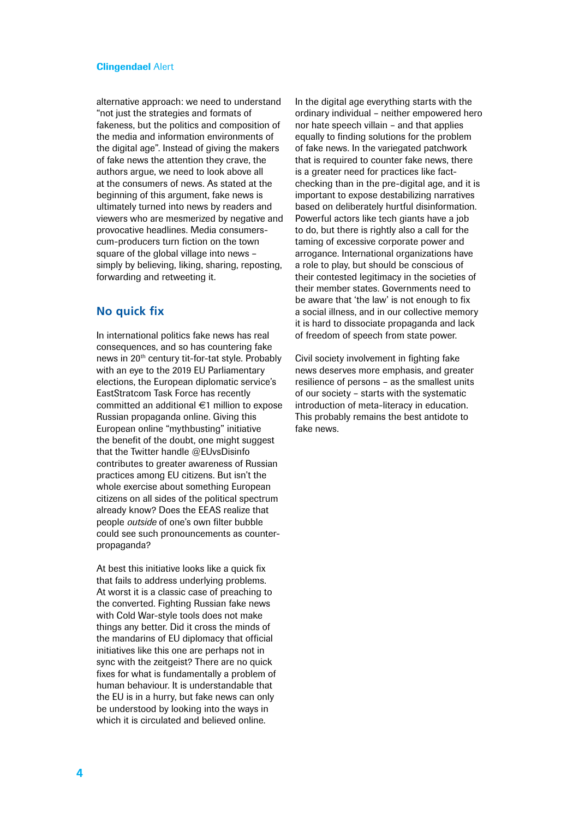#### Clingendael Alert

alternative approach: we need to understand "not just the strategies and formats of fakeness, but the politics and composition of the media and information environments of the digital age". Instead of giving the makers of fake news the attention they crave, the authors argue, we need to look above all at the consumers of news. As stated at the beginning of this argument, fake news is ultimately turned into news by readers and viewers who are mesmerized by negative and provocative headlines. Media consumerscum-producers turn fiction on the town square of the global village into news – simply by believing, liking, sharing, reposting, forwarding and retweeting it.

### **No quick fix**

In international politics fake news has real consequences, and so has countering fake news in 20th century tit-for-tat style. Probably with an eye to the 2019 EU Parliamentary elections, the European diplomatic service's EastStratcom Task Force has recently committed an additional €1 million to expose Russian propaganda online. Giving this European online "mythbusting" initiative the benefit of the doubt, one might suggest that the Twitter handle @EUvsDisinfo contributes to greater awareness of Russian practices among EU citizens. But isn't the whole exercise about something European citizens on all sides of the political spectrum already know? Does the EEAS realize that people *outside* of one's own filter bubble could see such pronouncements as counterpropaganda?

At best this initiative looks like a quick fix that fails to address underlying problems. At worst it is a classic case of preaching to the converted. Fighting Russian fake news with Cold War-style tools does not make things any better. Did it cross the minds of the mandarins of EU diplomacy that official initiatives like this one are perhaps not in sync with the zeitgeist? There are no quick fixes for what is fundamentally a problem of human behaviour. It is understandable that the EU is in a hurry, but fake news can only be understood by looking into the ways in which it is circulated and believed online.

In the digital age everything starts with the ordinary individual – neither empowered hero nor hate speech villain – and that applies equally to finding solutions for the problem of fake news. In the variegated patchwork that is required to counter fake news, there is a greater need for practices like factchecking than in the pre-digital age, and it is important to expose destabilizing narratives based on deliberately hurtful disinformation. Powerful actors like tech giants have a job to do, but there is rightly also a call for the taming of excessive corporate power and arrogance. International organizations have a role to play, but should be conscious of their contested legitimacy in the societies of their member states. Governments need to be aware that 'the law' is not enough to fix a social illness, and in our collective memory it is hard to dissociate propaganda and lack of freedom of speech from state power.

Civil society involvement in fighting fake news deserves more emphasis, and greater resilience of persons – as the smallest units of our society – starts with the systematic introduction of meta-literacy in education. This probably remains the best antidote to fake news.